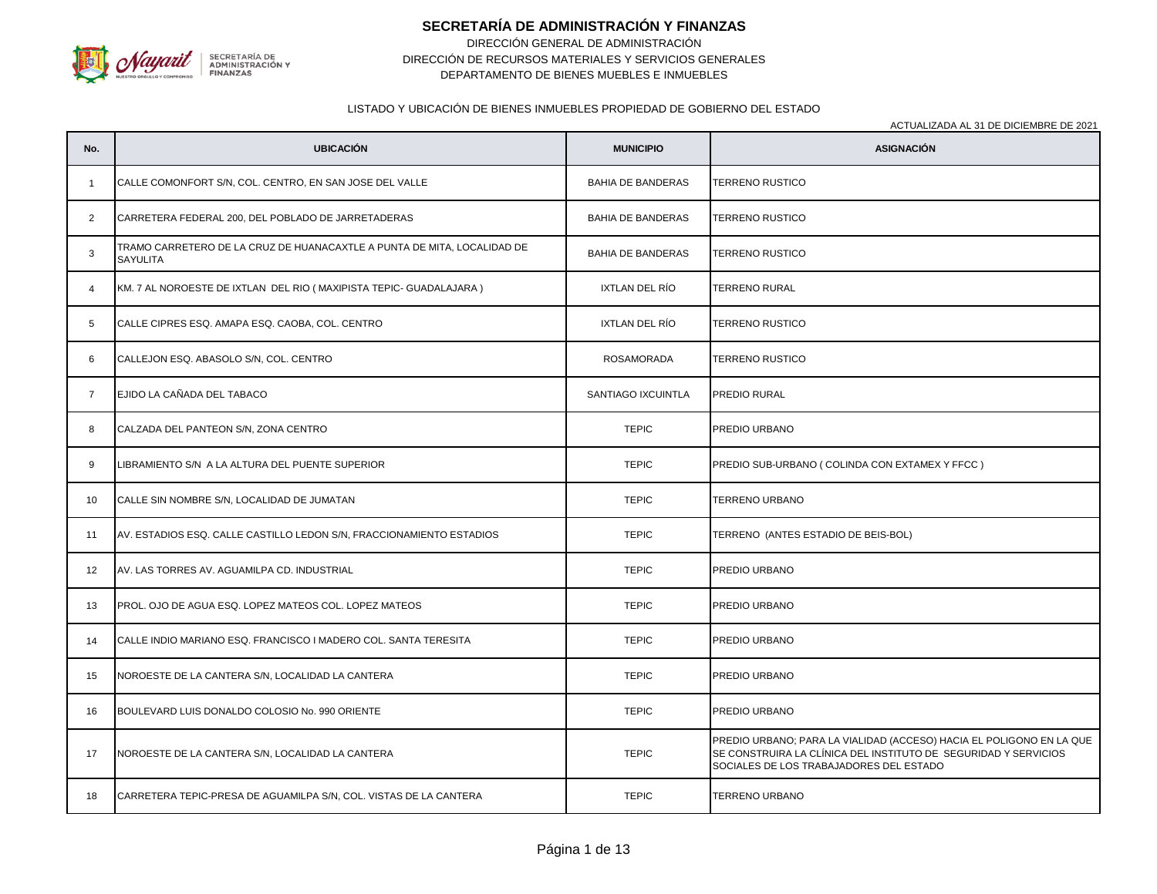

# **SECRETARÍA DE ADMINISTRACIÓN Y FINANZAS**

DIRECCIÓN GENERAL DE ADMINISTRACIÓN DEPARTAMENTO DE BIENES MUEBLES E INMUEBLES DIRECCIÓN DE RECURSOS MATERIALES Y SERVICIOS GENERALES

### LISTADO Y UBICACIÓN DE BIENES INMUEBLES PROPIEDAD DE GOBIERNO DEL ESTADO

| No.            | <b>UBICACIÓN</b>                                                                           | <b>MUNICIPIO</b>         | <b>ASIGNACIÓN</b>                                                                                                                                                                  |
|----------------|--------------------------------------------------------------------------------------------|--------------------------|------------------------------------------------------------------------------------------------------------------------------------------------------------------------------------|
| $\mathbf{1}$   | CALLE COMONFORT S/N, COL. CENTRO, EN SAN JOSE DEL VALLE                                    | <b>BAHIA DE BANDERAS</b> | <b>TERRENO RUSTICO</b>                                                                                                                                                             |
| 2              | CARRETERA FEDERAL 200, DEL POBLADO DE JARRETADERAS                                         | <b>BAHIA DE BANDERAS</b> | TERRENO RUSTICO                                                                                                                                                                    |
| 3              | TRAMO CARRETERO DE LA CRUZ DE HUANACAXTLE A PUNTA DE MITA, LOCALIDAD DE<br><b>SAYULITA</b> | <b>BAHIA DE BANDERAS</b> | <b>TERRENO RUSTICO</b>                                                                                                                                                             |
| $\overline{4}$ | KM. 7 AL NOROESTE DE IXTLAN DEL RIO (MAXIPISTA TEPIC- GUADALAJARA)                         | IXTLAN DEL RÍO           | TERRENO RURAL                                                                                                                                                                      |
| $5^{\circ}$    | CALLE CIPRES ESQ. AMAPA ESQ. CAOBA, COL. CENTRO                                            | IXTLAN DEL RÍO           | TERRENO RUSTICO                                                                                                                                                                    |
| 6              | CALLEJON ESQ. ABASOLO S/N, COL. CENTRO                                                     | ROSAMORADA               | TERRENO RUSTICO                                                                                                                                                                    |
| $\overline{7}$ | EJIDO LA CAÑADA DEL TABACO                                                                 | SANTIAGO IXCUINTLA       | PREDIO RURAL                                                                                                                                                                       |
| 8              | CALZADA DEL PANTEON S/N, ZONA CENTRO                                                       | <b>TEPIC</b>             | PREDIO URBANO                                                                                                                                                                      |
| 9              | LIBRAMIENTO S/N A LA ALTURA DEL PUENTE SUPERIOR                                            | <b>TEPIC</b>             | PREDIO SUB-URBANO (COLINDA CON EXTAMEX Y FFCC)                                                                                                                                     |
| 10             | CALLE SIN NOMBRE S/N, LOCALIDAD DE JUMATAN                                                 | <b>TEPIC</b>             | TERRENO URBANO                                                                                                                                                                     |
| 11             | AV. ESTADIOS ESQ. CALLE CASTILLO LEDON S/N, FRACCIONAMIENTO ESTADIOS                       | <b>TEPIC</b>             | TERRENO (ANTES ESTADIO DE BEIS-BOL)                                                                                                                                                |
| 12             | AV. LAS TORRES AV. AGUAMILPA CD. INDUSTRIAL                                                | <b>TEPIC</b>             | PREDIO URBANO                                                                                                                                                                      |
| 13             | PROL. OJO DE AGUA ESQ. LOPEZ MATEOS COL. LOPEZ MATEOS                                      | <b>TEPIC</b>             | PREDIO URBANO                                                                                                                                                                      |
| 14             | CALLE INDIO MARIANO ESQ. FRANCISCO I MADERO COL. SANTA TERESITA                            | <b>TEPIC</b>             | PREDIO URBANO                                                                                                                                                                      |
| 15             | NOROESTE DE LA CANTERA S/N, LOCALIDAD LA CANTERA                                           | <b>TEPIC</b>             | PREDIO URBANO                                                                                                                                                                      |
| 16             | BOULEVARD LUIS DONALDO COLOSIO No. 990 ORIENTE                                             | <b>TEPIC</b>             | PREDIO URBANO                                                                                                                                                                      |
| 17             | NOROESTE DE LA CANTERA S/N, LOCALIDAD LA CANTERA                                           | <b>TEPIC</b>             | PREDIO URBANO; PARA LA VIALIDAD (ACCESO) HACIA EL POLIGONO EN LA QUE<br>SE CONSTRUIRA LA CLÍNICA DEL INSTITUTO DE SEGURIDAD Y SERVICIOS<br>SOCIALES DE LOS TRABAJADORES DEL ESTADO |
| 18             | CARRETERA TEPIC-PRESA DE AGUAMILPA S/N, COL. VISTAS DE LA CANTERA                          | <b>TEPIC</b>             | TERRENO URBANO                                                                                                                                                                     |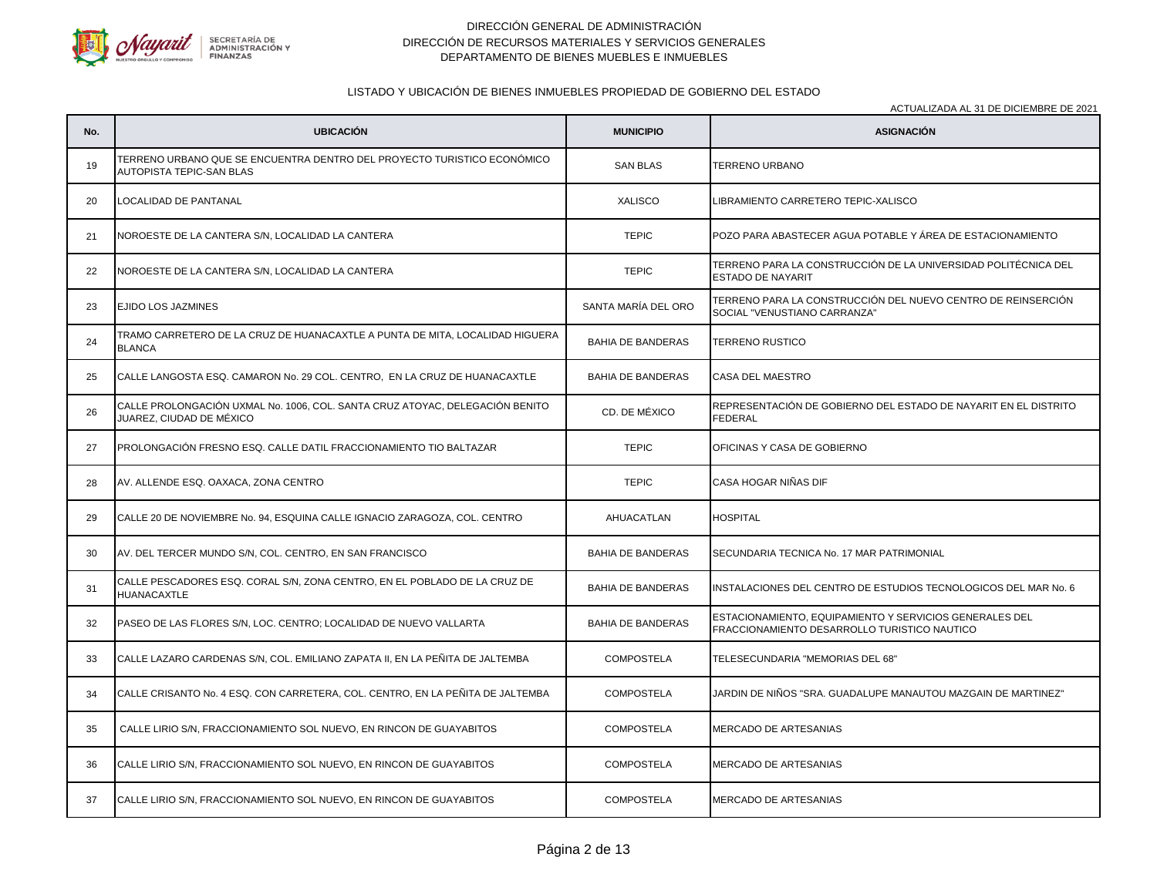

# LISTADO Y UBICACIÓN DE BIENES INMUEBLES PROPIEDAD DE GOBIERNO DEL ESTADO

| No. | <b>UBICACIÓN</b>                                                                                           | <b>MUNICIPIO</b>         | <b>ASIGNACIÓN</b>                                                                                       |
|-----|------------------------------------------------------------------------------------------------------------|--------------------------|---------------------------------------------------------------------------------------------------------|
| 19  | TERRENO URBANO QUE SE ENCUENTRA DENTRO DEL PROYECTO TURISTICO ECONÓMICO<br><b>AUTOPISTA TEPIC-SAN BLAS</b> | <b>SAN BLAS</b>          | TERRENO URBANO                                                                                          |
| 20  | LOCALIDAD DE PANTANAL                                                                                      | <b>XALISCO</b>           | LIBRAMIENTO CARRETERO TEPIC-XALISCO                                                                     |
| 21  | NOROESTE DE LA CANTERA S/N, LOCALIDAD LA CANTERA                                                           | <b>TEPIC</b>             | POZO PARA ABASTECER AGUA POTABLE Y ÅREA DE ESTACIONAMIENTO                                              |
| 22  | NOROESTE DE LA CANTERA S/N, LOCALIDAD LA CANTERA                                                           | <b>TEPIC</b>             | TERRENO PARA LA CONSTRUCCIÓN DE LA UNIVERSIDAD POLITÉCNICA DEL<br><b>ESTADO DE NAYARIT</b>              |
| 23  | EJIDO LOS JAZMINES                                                                                         | SANTA MARÍA DEL ORO      | TERRENO PARA LA CONSTRUCCIÓN DEL NUEVO CENTRO DE REINSERCIÓN<br>SOCIAL "VENUSTIANO CARRANZA"            |
| 24  | TRAMO CARRETERO DE LA CRUZ DE HUANACAXTLE A PUNTA DE MITA, LOCALIDAD HIGUERA<br><b>BLANCA</b>              | <b>BAHIA DE BANDERAS</b> | <b>TERRENO RUSTICO</b>                                                                                  |
| 25  | CALLE LANGOSTA ESQ. CAMARON No. 29 COL. CENTRO, EN LA CRUZ DE HUANACAXTLE                                  | <b>BAHIA DE BANDERAS</b> | CASA DEL MAESTRO                                                                                        |
| 26  | CALLE PROLONGACIÓN UXMAL No. 1006, COL. SANTA CRUZ ATOYAC, DELEGACIÓN BENITO<br>JUAREZ, CIUDAD DE MÉXICO   | CD. DE MÉXICO            | REPRESENTACIÓN DE GOBIERNO DEL ESTADO DE NAYARIT EN EL DISTRITO<br><b>FEDERAL</b>                       |
| 27  | PROLONGACIÓN FRESNO ESQ. CALLE DATIL FRACCIONAMIENTO TIO BALTAZAR                                          | <b>TEPIC</b>             | OFICINAS Y CASA DE GOBIERNO                                                                             |
| 28  | AV. ALLENDE ESQ. OAXACA, ZONA CENTRO                                                                       | <b>TEPIC</b>             | CASA HOGAR NIÑAS DIF                                                                                    |
| 29  | CALLE 20 DE NOVIEMBRE No. 94, ESQUINA CALLE IGNACIO ZARAGOZA, COL. CENTRO                                  | AHUACATLAN               | <b>HOSPITAL</b>                                                                                         |
| 30  | AV. DEL TERCER MUNDO S/N, COL. CENTRO, EN SAN FRANCISCO                                                    | <b>BAHIA DE BANDERAS</b> | SECUNDARIA TECNICA No. 17 MAR PATRIMONIAL                                                               |
| 31  | CALLE PESCADORES ESQ. CORAL S/N, ZONA CENTRO, EN EL POBLADO DE LA CRUZ DE<br><b>HUANACAXTLE</b>            | <b>BAHIA DE BANDERAS</b> | INSTALACIONES DEL CENTRO DE ESTUDIOS TECNOLOGICOS DEL MAR No. 6                                         |
| 32  | PASEO DE LAS FLORES S/N, LOC. CENTRO; LOCALIDAD DE NUEVO VALLARTA                                          | <b>BAHIA DE BANDERAS</b> | ESTACIONAMIENTO, EQUIPAMIENTO Y SERVICIOS GENERALES DEL<br>FRACCIONAMIENTO DESARROLLO TURISTICO NAUTICO |
| 33  | CALLE LAZARO CARDENAS S/N, COL. EMILIANO ZAPATA II, EN LA PEÑITA DE JALTEMBA                               | <b>COMPOSTELA</b>        | TELESECUNDARIA "MEMORIAS DEL 68"                                                                        |
| 34  | CALLE CRISANTO No. 4 ESQ. CON CARRETERA, COL. CENTRO, EN LA PEÑITA DE JALTEMBA                             | <b>COMPOSTELA</b>        | JARDIN DE NIÑOS "SRA. GUADALUPE MANAUTOU MAZGAIN DE MARTINEZ"                                           |
| 35  | CALLE LIRIO S/N, FRACCIONAMIENTO SOL NUEVO, EN RINCON DE GUAYABITOS                                        | <b>COMPOSTELA</b>        | <b>MERCADO DE ARTESANIAS</b>                                                                            |
| 36  | CALLE LIRIO S/N, FRACCIONAMIENTO SOL NUEVO, EN RINCON DE GUAYABITOS                                        | <b>COMPOSTELA</b>        | MERCADO DE ARTESANIAS                                                                                   |
| 37  | CALLE LIRIO S/N, FRACCIONAMIENTO SOL NUEVO, EN RINCON DE GUAYABITOS                                        | <b>COMPOSTELA</b>        | <b>MERCADO DE ARTESANIAS</b>                                                                            |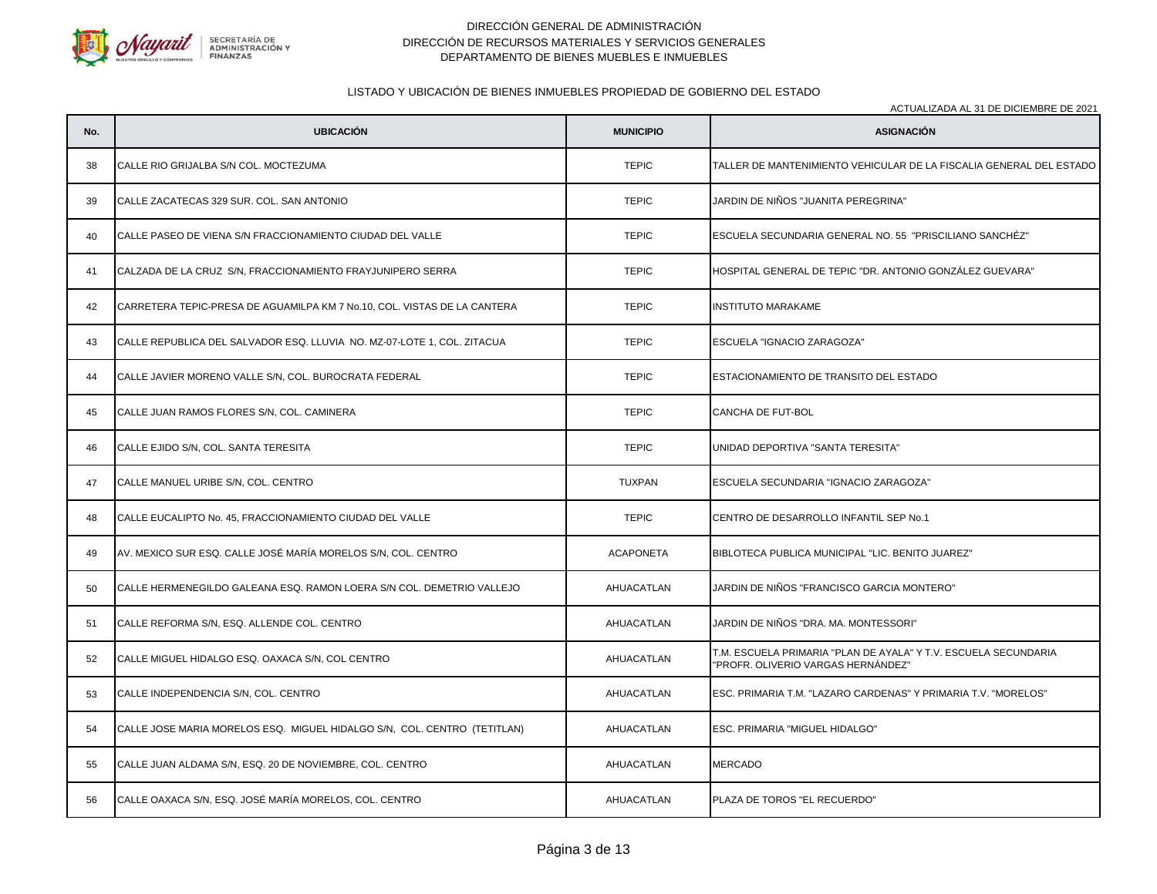

# LISTADO Y UBICACIÓN DE BIENES INMUEBLES PROPIEDAD DE GOBIERNO DEL ESTADO

| No. | <b>UBICACIÓN</b>                                                         | <b>MUNICIPIO</b> | AOTOALIZADA AL 01 DE DIOIEMBRE DE 2021<br><b>ASIGNACIÓN</b>                                           |
|-----|--------------------------------------------------------------------------|------------------|-------------------------------------------------------------------------------------------------------|
| 38  | CALLE RIO GRIJALBA S/N COL. MOCTEZUMA                                    | <b>TEPIC</b>     | TALLER DE MANTENIMIENTO VEHICULAR DE LA FISCALIA GENERAL DEL ESTADO                                   |
| 39  | CALLE ZACATECAS 329 SUR. COL. SAN ANTONIO                                | <b>TEPIC</b>     | JARDIN DE NIÑOS "JUANITA PEREGRINA"                                                                   |
| 40  | CALLE PASEO DE VIENA S/N FRACCIONAMIENTO CIUDAD DEL VALLE                | <b>TEPIC</b>     | ESCUELA SECUNDARIA GENERAL NO. 55 "PRISCILIANO SANCHÉZ"                                               |
| 41  | CALZADA DE LA CRUZ S/N, FRACCIONAMIENTO FRAYJUNIPERO SERRA               | <b>TEPIC</b>     | HOSPITAL GENERAL DE TEPIC "DR. ANTONIO GONZÁLEZ GUEVARA"                                              |
| 42  | CARRETERA TEPIC-PRESA DE AGUAMILPA KM 7 No.10, COL. VISTAS DE LA CANTERA | <b>TEPIC</b>     | <b>INSTITUTO MARAKAME</b>                                                                             |
| 43  | CALLE REPUBLICA DEL SALVADOR ESQ. LLUVIA NO. MZ-07-LOTE 1, COL. ZITACUA  | <b>TEPIC</b>     | ESCUELA "IGNACIO ZARAGOZA"                                                                            |
| 44  | CALLE JAVIER MORENO VALLE S/N, COL. BUROCRATA FEDERAL                    | <b>TEPIC</b>     | ESTACIONAMIENTO DE TRANSITO DEL ESTADO                                                                |
| 45  | CALLE JUAN RAMOS FLORES S/N, COL. CAMINERA                               | <b>TEPIC</b>     | CANCHA DE FUT-BOL                                                                                     |
| 46  | CALLE EJIDO S/N, COL. SANTA TERESITA                                     | <b>TEPIC</b>     | UNIDAD DEPORTIVA "SANTA TERESITA"                                                                     |
| 47  | CALLE MANUEL URIBE S/N, COL. CENTRO                                      | <b>TUXPAN</b>    | ESCUELA SECUNDARIA "IGNACIO ZARAGOZA"                                                                 |
| 48  | CALLE EUCALIPTO No. 45, FRACCIONAMIENTO CIUDAD DEL VALLE                 | <b>TEPIC</b>     | CENTRO DE DESARROLLO INFANTIL SEP No.1                                                                |
| 49  | AV. MEXICO SUR ESQ. CALLE JOSÉ MARÍA MORELOS S/N, COL. CENTRO            | <b>ACAPONETA</b> | BIBLOTECA PUBLICA MUNICIPAL "LIC. BENITO JUAREZ"                                                      |
| 50  | CALLE HERMENEGILDO GALEANA ESQ. RAMON LOERA S/N COL. DEMETRIO VALLEJO    | AHUACATLAN       | JARDIN DE NIÑOS "FRANCISCO GARCIA MONTERO"                                                            |
| 51  | CALLE REFORMA S/N, ESQ. ALLENDE COL. CENTRO                              | AHUACATLAN       | JARDIN DE NIÑOS "DRA. MA. MONTESSORI"                                                                 |
| 52  | CALLE MIGUEL HIDALGO ESQ. OAXACA S/N, COL CENTRO                         | AHUACATLAN       | T.M. ESCUELA PRIMARIA "PLAN DE AYALA" Y T.V. ESCUELA SECUNDARIA<br>"PROFR. OLIVERIO VARGAS HERNÁNDEZ" |
| 53  | CALLE INDEPENDENCIA S/N, COL. CENTRO                                     | AHUACATLAN       | ESC. PRIMARIA T.M. "LAZARO CARDENAS" Y PRIMARIA T.V. "MORELOS"                                        |
| 54  | CALLE JOSE MARIA MORELOS ESQ. MIGUEL HIDALGO S/N, COL. CENTRO (TETITLAN) | AHUACATLAN       | ESC. PRIMARIA "MIGUEL HIDALGO"                                                                        |
| 55  | CALLE JUAN ALDAMA S/N, ESQ. 20 DE NOVIEMBRE, COL. CENTRO                 | AHUACATLAN       | <b>MERCADO</b>                                                                                        |
| 56  | CALLE OAXACA S/N, ESQ. JOSÉ MARÍA MORELOS, COL. CENTRO                   | AHUACATLAN       | PLAZA DE TOROS "EL RECUERDO"                                                                          |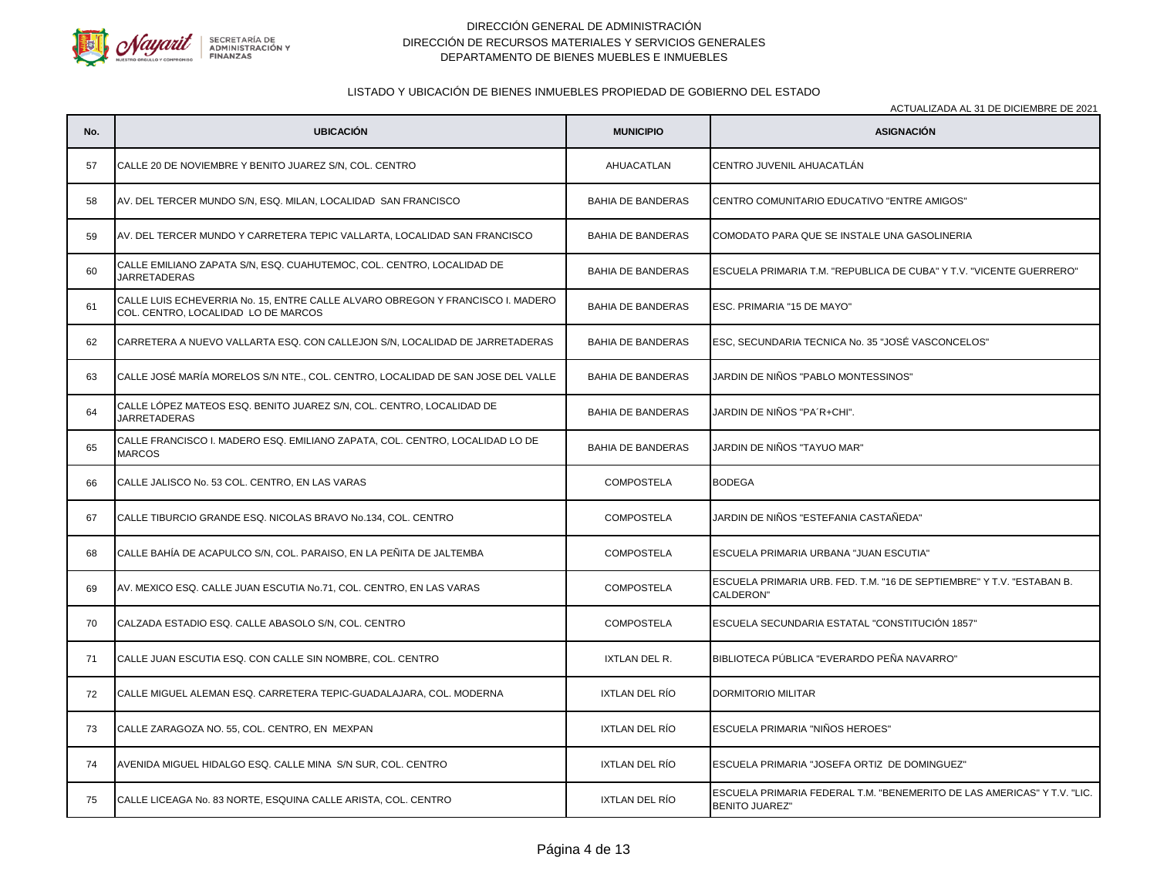

# LISTADO Y UBICACIÓN DE BIENES INMUEBLES PROPIEDAD DE GOBIERNO DEL ESTADO

| No. | <b>UBICACIÓN</b>                                                                                                      | <b>MUNICIPIO</b>         | AOTOALIZADA AL 91 DE DIOIEMBRE DE 2021<br><b>ASIGNACIÓN</b>                                      |
|-----|-----------------------------------------------------------------------------------------------------------------------|--------------------------|--------------------------------------------------------------------------------------------------|
| 57  | CALLE 20 DE NOVIEMBRE Y BENITO JUAREZ S/N, COL. CENTRO                                                                | AHUACATLAN               | CENTRO JUVENIL AHUACATLÁN                                                                        |
| 58  | AV. DEL TERCER MUNDO S/N, ESQ. MILAN, LOCALIDAD SAN FRANCISCO                                                         | <b>BAHIA DE BANDERAS</b> | CENTRO COMUNITARIO EDUCATIVO "ENTRE AMIGOS"                                                      |
| 59  | AV. DEL TERCER MUNDO Y CARRETERA TEPIC VALLARTA, LOCALIDAD SAN FRANCISCO                                              | <b>BAHIA DE BANDERAS</b> | COMODATO PARA QUE SE INSTALE UNA GASOLINERIA                                                     |
| 60  | CALLE EMILIANO ZAPATA S/N, ESQ. CUAHUTEMOC, COL. CENTRO, LOCALIDAD DE<br><b>JARRETADERAS</b>                          | <b>BAHIA DE BANDERAS</b> | ESCUELA PRIMARIA T.M. "REPUBLICA DE CUBA" Y T.V. "VICENTE GUERRERO"                              |
| 61  | CALLE LUIS ECHEVERRIA No. 15, ENTRE CALLE ALVARO OBREGON Y FRANCISCO I. MADERO<br>COL. CENTRO, LOCALIDAD LO DE MARCOS | <b>BAHIA DE BANDERAS</b> | ESC. PRIMARIA "15 DE MAYO"                                                                       |
| 62  | CARRETERA A NUEVO VALLARTA ESQ. CON CALLEJON S/N, LOCALIDAD DE JARRETADERAS                                           | <b>BAHIA DE BANDERAS</b> | ESC, SECUNDARIA TECNICA No. 35 "JOSÉ VASCONCELOS"                                                |
| 63  | CALLE JOSÉ MARÍA MORELOS S/N NTE., COL. CENTRO, LOCALIDAD DE SAN JOSE DEL VALLE                                       | <b>BAHIA DE BANDERAS</b> | JARDIN DE NIÑOS "PABLO MONTESSINOS"                                                              |
| 64  | CALLE LÓPEZ MATEOS ESQ. BENITO JUAREZ S/N, COL. CENTRO, LOCALIDAD DE<br><b>JARRETADERAS</b>                           | <b>BAHIA DE BANDERAS</b> | JARDIN DE NIÑOS "PA´R+CHI".                                                                      |
| 65  | CALLE FRANCISCO I. MADERO ESQ. EMILIANO ZAPATA, COL. CENTRO, LOCALIDAD LO DE<br><b>MARCOS</b>                         | <b>BAHIA DE BANDERAS</b> | JARDIN DE NIÑOS "TAYUO MAR"                                                                      |
| 66  | CALLE JALISCO No. 53 COL. CENTRO, EN LAS VARAS                                                                        | <b>COMPOSTELA</b>        | <b>BODEGA</b>                                                                                    |
| 67  | CALLE TIBURCIO GRANDE ESQ. NICOLAS BRAVO No.134, COL. CENTRO                                                          | <b>COMPOSTELA</b>        | JARDIN DE NIÑOS "ESTEFANIA CASTAÑEDA"                                                            |
| 68  | CALLE BAHÍA DE ACAPULCO S/N, COL. PARAISO, EN LA PEÑITA DE JALTEMBA                                                   | <b>COMPOSTELA</b>        | ESCUELA PRIMARIA URBANA "JUAN ESCUTIA"                                                           |
| 69  | AV. MEXICO ESQ. CALLE JUAN ESCUTIA No.71, COL. CENTRO, EN LAS VARAS                                                   | <b>COMPOSTELA</b>        | ESCUELA PRIMARIA URB. FED. T.M. "16 DE SEPTIEMBRE" Y T.V. "ESTABAN B.<br>CALDERON"               |
| 70  | CALZADA ESTADIO ESQ. CALLE ABASOLO S/N, COL. CENTRO                                                                   | <b>COMPOSTELA</b>        | ESCUELA SECUNDARIA ESTATAL "CONSTITUCIÓN 1857"                                                   |
| 71  | CALLE JUAN ESCUTIA ESQ. CON CALLE SIN NOMBRE, COL. CENTRO                                                             | IXTLAN DEL R.            | BIBLIOTECA PÚBLICA "EVERARDO PEÑA NAVARRO"                                                       |
| 72  | CALLE MIGUEL ALEMAN ESQ. CARRETERA TEPIC-GUADALAJARA, COL. MODERNA                                                    | IXTLAN DEL RÍO           | DORMITORIO MILITAR                                                                               |
| 73  | CALLE ZARAGOZA NO. 55, COL. CENTRO, EN MEXPAN                                                                         | IXTLAN DEL RÍO           | ESCUELA PRIMARIA "NIÑOS HEROES"                                                                  |
| 74  | AVENIDA MIGUEL HIDALGO ESQ. CALLE MINA S/N SUR, COL. CENTRO                                                           | IXTLAN DEL RÍO           | ESCUELA PRIMARIA "JOSEFA ORTIZ DE DOMINGUEZ"                                                     |
| 75  | CALLE LICEAGA No. 83 NORTE, ESQUINA CALLE ARISTA, COL. CENTRO                                                         | IXTLAN DEL RÍO           | ESCUELA PRIMARIA FEDERAL T.M. "BENEMERITO DE LAS AMERICAS" Y T.V. "LIC.<br><b>BENITO JUAREZ"</b> |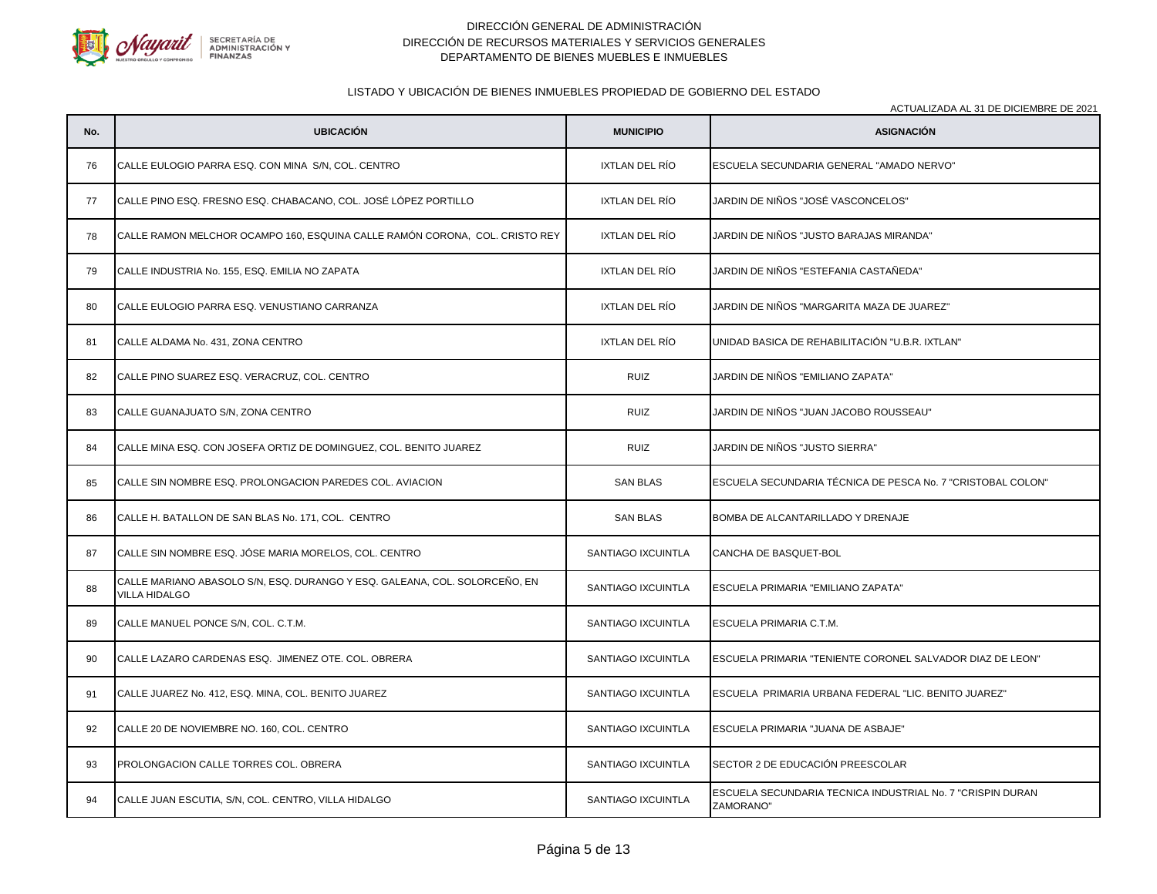

# LISTADO Y UBICACIÓN DE BIENES INMUEBLES PROPIEDAD DE GOBIERNO DEL ESTADO

| No. | <b>UBICACIÓN</b>                                                                                   | <b>MUNICIPIO</b>      | <b>NOTURILIZADA AL ST DE DIOIEMBRE DE 202 I</b><br><b>ASIGNACIÓN</b>    |
|-----|----------------------------------------------------------------------------------------------------|-----------------------|-------------------------------------------------------------------------|
| 76  | CALLE EULOGIO PARRA ESQ. CON MINA S/N, COL. CENTRO                                                 | IXTLAN DEL RÍO        | ESCUELA SECUNDARIA GENERAL "AMADO NERVO"                                |
| 77  | CALLE PINO ESQ. FRESNO ESQ. CHABACANO, COL. JOSÉ LÓPEZ PORTILLO                                    | <b>IXTLAN DEL RÍO</b> | JARDIN DE NIÑOS "JOSÉ VASCONCELOS"                                      |
| 78  | CALLE RAMON MELCHOR OCAMPO 160, ESQUINA CALLE RAMÓN CORONA, COL. CRISTO REY                        | IXTLAN DEL RÍO        | JARDIN DE NIÑOS "JUSTO BARAJAS MIRANDA"                                 |
| 79  | CALLE INDUSTRIA No. 155, ESQ. EMILIA NO ZAPATA                                                     | IXTLAN DEL RÍO        | JARDIN DE NIÑOS "ESTEFANIA CASTAÑEDA"                                   |
| 80  | CALLE EULOGIO PARRA ESQ. VENUSTIANO CARRANZA                                                       | IXTLAN DEL RÍO        | JARDIN DE NIÑOS "MARGARITA MAZA DE JUAREZ"                              |
| 81  | CALLE ALDAMA No. 431, ZONA CENTRO                                                                  | <b>IXTLAN DEL RÍO</b> | UNIDAD BASICA DE REHABILITACIÓN "U.B.R. IXTLAN"                         |
| 82  | CALLE PINO SUAREZ ESQ. VERACRUZ, COL. CENTRO                                                       | <b>RUIZ</b>           | JARDIN DE NIÑOS "EMILIANO ZAPATA"                                       |
| 83  | CALLE GUANAJUATO S/N, ZONA CENTRO                                                                  | <b>RUIZ</b>           | JARDIN DE NIÑOS "JUAN JACOBO ROUSSEAU"                                  |
| 84  | CALLE MINA ESQ. CON JOSEFA ORTIZ DE DOMINGUEZ, COL. BENITO JUAREZ                                  | <b>RUIZ</b>           | JARDIN DE NIÑOS "JUSTO SIERRA"                                          |
| 85  | CALLE SIN NOMBRE ESQ. PROLONGACION PAREDES COL. AVIACION                                           | <b>SAN BLAS</b>       | ESCUELA SECUNDARIA TÉCNICA DE PESCA No. 7 "CRISTOBAL COLON"             |
| 86  | CALLE H. BATALLON DE SAN BLAS No. 171, COL. CENTRO                                                 | <b>SAN BLAS</b>       | BOMBA DE ALCANTARILLADO Y DRENAJE                                       |
| 87  | CALLE SIN NOMBRE ESQ. JÓSE MARIA MORELOS, COL. CENTRO                                              | SANTIAGO IXCUINTLA    | CANCHA DE BASQUET-BOL                                                   |
| 88  | CALLE MARIANO ABASOLO S/N, ESQ. DURANGO Y ESQ. GALEANA, COL. SOLORCEÑO, EN<br><b>VILLA HIDALGO</b> | SANTIAGO IXCUINTLA    | ESCUELA PRIMARIA "EMILIANO ZAPATA"                                      |
| 89  | CALLE MANUEL PONCE S/N, COL. C.T.M.                                                                | SANTIAGO IXCUINTLA    | ESCUELA PRIMARIA C.T.M.                                                 |
| 90  | CALLE LAZARO CARDENAS ESQ. JIMENEZ OTE. COL. OBRERA                                                | SANTIAGO IXCUINTLA    | ESCUELA PRIMARIA "TENIENTE CORONEL SALVADOR DIAZ DE LEON"               |
| 91  | CALLE JUAREZ No. 412, ESQ. MINA, COL. BENITO JUAREZ                                                | SANTIAGO IXCUINTLA    | ESCUELA PRIMARIA URBANA FEDERAL "LIC. BENITO JUAREZ"                    |
| 92  | CALLE 20 DE NOVIEMBRE NO. 160, COL. CENTRO                                                         | SANTIAGO IXCUINTLA    | ESCUELA PRIMARIA "JUANA DE ASBAJE"                                      |
| 93  | PROLONGACION CALLE TORRES COL. OBRERA                                                              | SANTIAGO IXCUINTLA    | SECTOR 2 DE EDUCACIÓN PREESCOLAR                                        |
| 94  | CALLE JUAN ESCUTIA, S/N, COL. CENTRO, VILLA HIDALGO                                                | SANTIAGO IXCUINTLA    | ESCUELA SECUNDARIA TECNICA INDUSTRIAL No. 7 "CRISPIN DURAN<br>ZAMORANO" |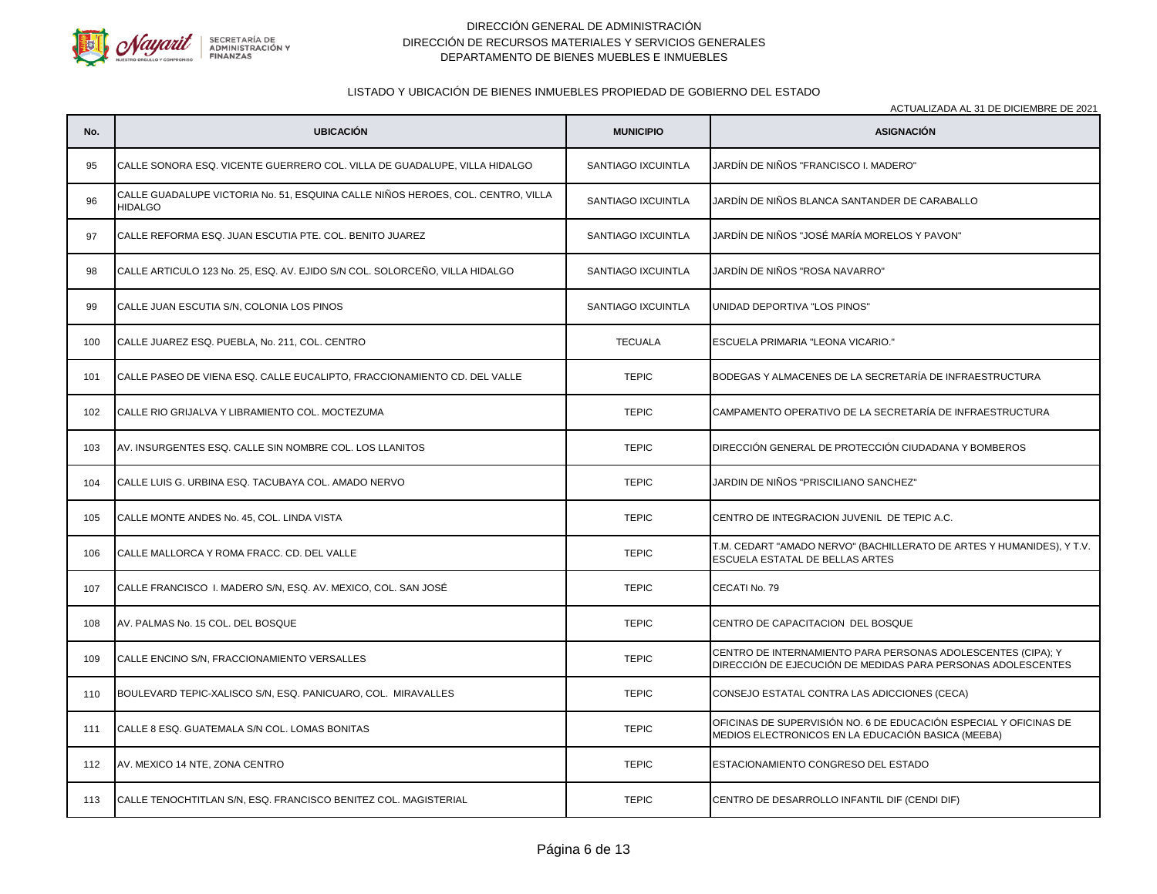

## LISTADO Y UBICACIÓN DE BIENES INMUEBLES PROPIEDAD DE GOBIERNO DEL ESTADO

ACTUALIZADA AL 31 DE DICIEMBRE DE 2021

**No. UBICACIÓN MUNICIPIO ASIGNACIÓN** 95 CALLE SONORA ESQ. VICENTE GUERRERO COL. VILLA DE GUADALUPE, VILLA HIDALGO **SANTIAGO IXCUINTLA JARDÍN DE NIÑOS "FRANCISCO I. MADERO"** 96 CALLE GUADALUPE VICTORIA No. 51, ESQUINA CALLE NIÑOS HEROES, COL. CENTRO, VILLA<br>HIDALGO SANTIAGO IXCUINTLA JJARDÍN DE NIÑOS BLANCA SANTANDER DE CARABALLO 97 CALLE REFORMA ESQ. JUAN ESCUTIA PTE. COL. BENITO JUAREZ SANTIAGO IXCUINTLA JARDÍN DE NIÑOS "JOSÉ MARÍA MORELOS Y PAVON" 98 CALLE ARTICULO 123 No. 25, ESQ. AV. EJIDO S/N COL. SOLORCEÑO, VILLA HIDALGO SANTIAGO IXCUINTLA JARDÍN DE NIÑOS "ROSA NAVARRO" 99 CALLE JUAN ESCUTIA S/N, COLONIA LOS PINOS SANTIAGO IXCUINTLA UNIDAD DEPORTIVA "LOS PINOS" 100 CALLE JUAREZ ESQ. PUEBLA, No. 211, COL. CENTRO TECUALA ESCUELA PRIMARIA "LEONA VICARIO." 101 CALLE PASEO DE VIENA ESQ. CALLE EUCALIPTO, FRACCIONAMIENTO CD. DEL VALLE TEPIC BODEGAS Y ALMACENES DE LA SECRETARÍA DE INFRAESTRUCTURA 102 CALLE RIO GRIJALVA Y LIBRAMIENTO COL. MOCTEZUMA TEPIC CAMPAMENTO OPERATIVO DE LA SECRETARÍA DE INFRAESTRUCTURA 103 AV. INSURGENTES ESQ. CALLE SIN NOMBRE COL. LOS LLANITOS TEPIC DIRECCIÓN GENERAL DE PROTECCIÓN CIUDADANA Y BOMBEROS 104 CALLE LUIS G. URBINA ESQ. TACUBAYA COL. AMADO NERVO TEPIC JARDIN DE NIÑOS "PRISCILIANO SANCHEZ" 105 CALLE MONTE ANDES No. 45, COL. LINDA VISTA TEPIC CENTRO DE INTEGRACION JUVENIL DE TEPIC A.C. 106 CALLE MALLORCA Y ROMA FRACC. CD. DEL VALLE (2002) T.M. CEDART "AMADO NERVO" (BACHILLERATO DE ARTES Y HUMANIDES), Y T.V. ESCUELA ESTATAL DE BELLAS ARTES 107 CALLE FRANCISCO I. MADERO S/N, ESQ. AV. MEXICO, COL. SAN JOSÉ **TEPIC** TEPIC CECATI No. 79 108 AV. PALMAS No. 15 COL. DEL BOSQUE TEPIC CENTRO DE CAPACITACION DEL BOSQUE 109 CALLE ENCINO S/N, FRACCIONAMIENTO VERSALLES TEPIC CENTRO DE INTERNAMIENTO PARA PERSONAS ADOLESCENTES (CIPA); Y DIRECCIÓN DE EJECUCIÓN DE MEDIDAS PARA PERSONAS ADOLESCENTES 110 BOULEVARD TEPIC-XALISCO S/N, ESQ. PANICUARO, COL. MIRAVALLES TEPIC CONSEJO ESTATAL CONTRA LAS ADICCIONES (CECA) 111 CALLE 8 ESQ. GUATEMALA S/N COL. LOMAS BONITAS TERIC TEPIC TEPIC TEPIC TEPIC COL. CONSIDERATION AND SUPERVISIÓN NO. 6 DE EDUCACIÓN ESPECIAL Y OFICINAS DE MEDIOS ELECTRONICOS EN LA EDUCACIÓN BASICA (MEEBA) 112 AV. MEXICO 14 NTE, ZONA CENTRO TEPIC ESTACIONAMIENTO CONGRESO DEL ESTADO 113 CALLE TENOCHTITLAN S/N, ESQ. FRANCISCO BENITEZ COL. MAGISTERIAL TEPIC TEPIC CENTRO DE DESARROLLO INFANTIL DIF (CENDI DIF)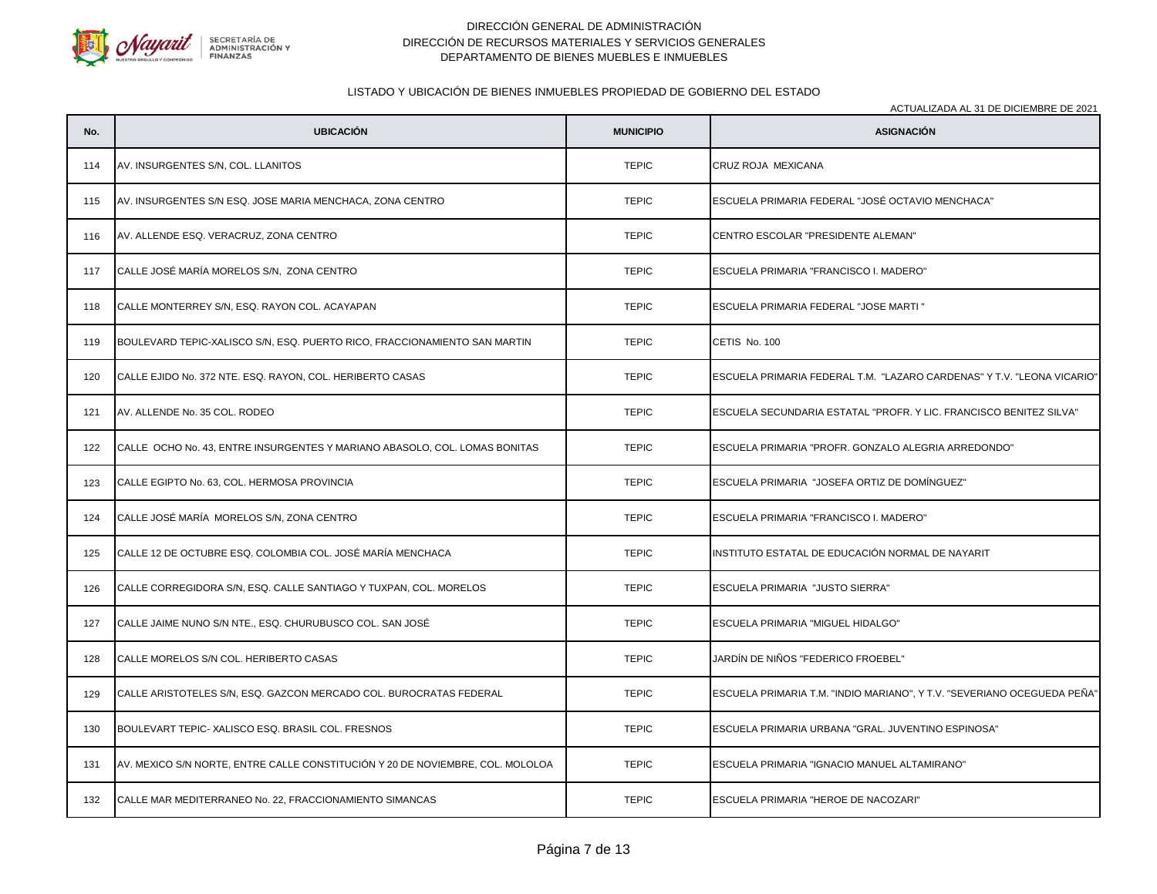

# LISTADO Y UBICACIÓN DE BIENES INMUEBLES PROPIEDAD DE GOBIERNO DEL ESTADO

| No. | <b>UBICACIÓN</b>                                                               | <b>MUNICIPIO</b> | AOTOALIZADA AL 91 DE DIOIEMBRE DE 2021<br><b>ASIGNACIÓN</b>             |
|-----|--------------------------------------------------------------------------------|------------------|-------------------------------------------------------------------------|
| 114 | AV. INSURGENTES S/N, COL. LLANITOS                                             | <b>TEPIC</b>     | CRUZ ROJA MEXICANA                                                      |
| 115 | AV. INSURGENTES S/N ESQ. JOSE MARIA MENCHACA, ZONA CENTRO                      | <b>TEPIC</b>     | ESCUELA PRIMARIA FEDERAL "JOSÉ OCTAVIO MENCHACA"                        |
| 116 | AV. ALLENDE ESQ. VERACRUZ, ZONA CENTRO                                         | <b>TEPIC</b>     | CENTRO ESCOLAR "PRESIDENTE ALEMAN"                                      |
| 117 | CALLE JOSÉ MARÍA MORELOS S/N, ZONA CENTRO                                      | <b>TEPIC</b>     | ESCUELA PRIMARIA "FRANCISCO I. MADERO"                                  |
| 118 | CALLE MONTERREY S/N, ESQ. RAYON COL. ACAYAPAN                                  | <b>TEPIC</b>     | ESCUELA PRIMARIA FEDERAL "JOSE MARTI "                                  |
| 119 | BOULEVARD TEPIC-XALISCO S/N, ESQ. PUERTO RICO, FRACCIONAMIENTO SAN MARTIN      | <b>TEPIC</b>     | CETIS No. 100                                                           |
| 120 | CALLE EJIDO No. 372 NTE. ESQ. RAYON, COL. HERIBERTO CASAS                      | <b>TEPIC</b>     | ESCUELA PRIMARIA FEDERAL T.M. "LAZARO CARDENAS" Y T.V. "LEONA VICARIO"  |
| 121 | AV. ALLENDE No. 35 COL. RODEO                                                  | <b>TEPIC</b>     | ESCUELA SECUNDARIA ESTATAL "PROFR. Y LIC. FRANCISCO BENITEZ SILVA"      |
| 122 | CALLE OCHO No. 43, ENTRE INSURGENTES Y MARIANO ABASOLO, COL. LOMAS BONITAS     | <b>TEPIC</b>     | ESCUELA PRIMARIA "PROFR. GONZALO ALEGRIA ARREDONDO"                     |
| 123 | CALLE EGIPTO No. 63, COL. HERMOSA PROVINCIA                                    | <b>TEPIC</b>     | ESCUELA PRIMARIA "JOSEFA ORTIZ DE DOMÍNGUEZ"                            |
| 124 | CALLE JOSÉ MARÍA MORELOS S/N, ZONA CENTRO                                      | <b>TEPIC</b>     | ESCUELA PRIMARIA "FRANCISCO I. MADERO"                                  |
| 125 | CALLE 12 DE OCTUBRE ESQ. COLOMBIA COL. JOSÉ MARÍA MENCHACA                     | <b>TEPIC</b>     | INSTITUTO ESTATAL DE EDUCACIÓN NORMAL DE NAYARIT                        |
| 126 | CALLE CORREGIDORA S/N, ESQ. CALLE SANTIAGO Y TUXPAN, COL. MORELOS              | <b>TEPIC</b>     | ESCUELA PRIMARIA "JUSTO SIERRA"                                         |
| 127 | CALLE JAIME NUNO S/N NTE., ESQ. CHURUBUSCO COL. SAN JOSÉ                       | <b>TEPIC</b>     | ESCUELA PRIMARIA "MIGUEL HIDALGO"                                       |
| 128 | CALLE MORELOS S/N COL. HERIBERTO CASAS                                         | <b>TEPIC</b>     | JARDÍN DE NIÑOS "FEDERICO FROEBEL"                                      |
| 129 | CALLE ARISTOTELES S/N, ESQ. GAZCON MERCADO COL. BUROCRATAS FEDERAL             | <b>TEPIC</b>     | ESCUELA PRIMARIA T.M. "INDIO MARIANO", Y T.V. "SEVERIANO OCEGUEDA PEÑA" |
| 130 | BOULEVART TEPIC- XALISCO ESQ. BRASIL COL. FRESNOS                              | <b>TEPIC</b>     | ESCUELA PRIMARIA URBANA "GRAL. JUVENTINO ESPINOSA"                      |
| 131 | AV. MEXICO S/N NORTE, ENTRE CALLE CONSTITUCIÓN Y 20 DE NOVIEMBRE, COL. MOLOLOA | <b>TEPIC</b>     | ESCUELA PRIMARIA "IGNACIO MANUEL ALTAMIRANO"                            |
| 132 | CALLE MAR MEDITERRANEO No. 22, FRACCIONAMIENTO SIMANCAS                        | <b>TEPIC</b>     | ESCUELA PRIMARIA "HEROE DE NACOZARI"                                    |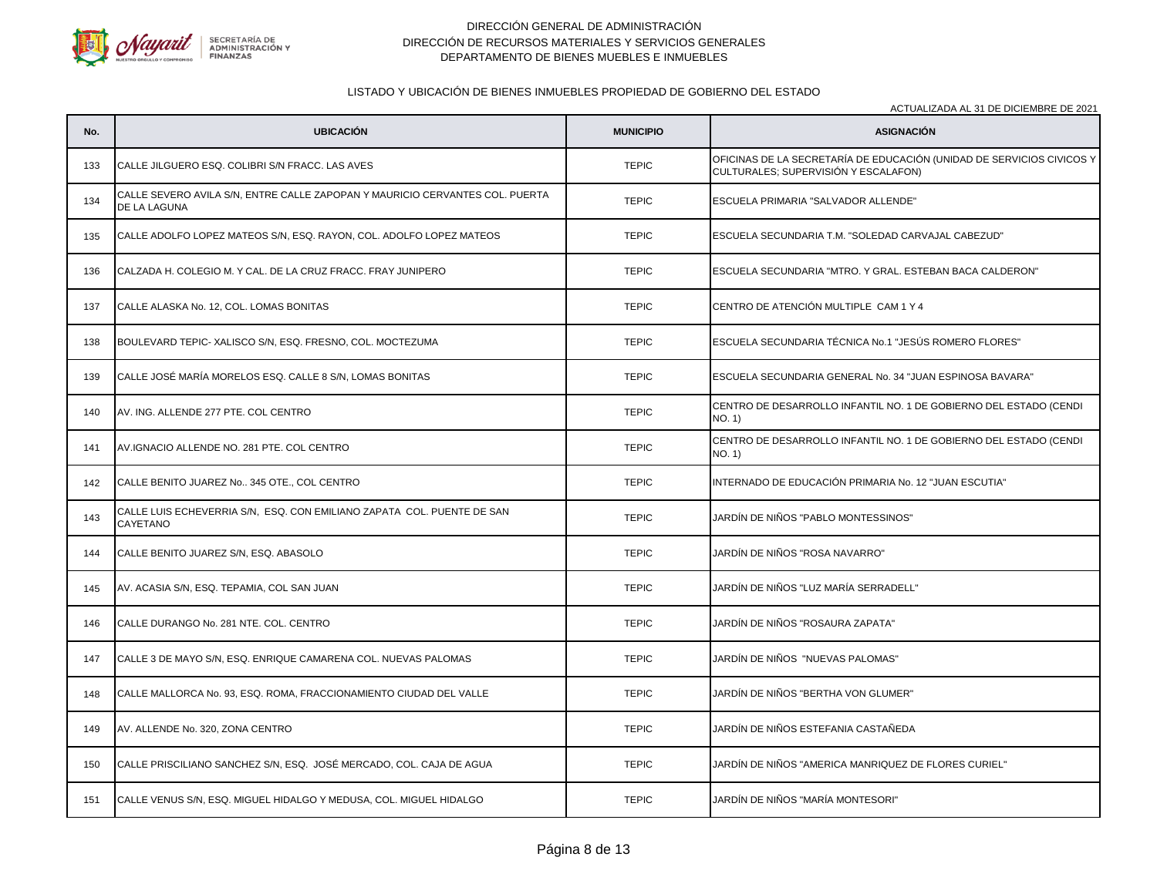

#### LISTADO Y UBICACIÓN DE BIENES INMUEBLES PROPIEDAD DE GOBIERNO DEL ESTADO

**No. UBICACIÓN MUNICIPIO ASIGNACIÓN** ACTUALIZADA AL 31 DE DICIEMBRE DE 2021 133 CALLE JILGUERO ESQ. COLIBRI S/N FRACC. LAS AVES TERIC TEPIC TEPIC TEPIC TERIC COLIBINATION (UNIDAD DE SERVICIOS CIVICOS Y CULTURALES; SUPERVISIÓN Y ESCALAFON) 134 CALLE SEVERO AVILA S/N, ENTRE CALLE ZAPOPAN Y MAURICIO CERVANTES COL. PUERTA<br>DE LA LAGUNA TEPIC ESCUELA PRIMARIA "SALVADOR ALLENDE" 135 CALLE ADOLFO LOPEZ MATEOS S/N, ESQ. RAYON, COL. ADOLFO LOPEZ MATEOS TEPIC ESCUELA SECUNDARIA T.M. "SOLEDAD CARVAJAL CABEZUD" 136 CALZADA H. COLEGIO M. Y CAL. DE LA CRUZ FRACC. FRAY JUNIPERO TEPIC ESCUELA SECUNDARIA "MTRO. Y GRAL. ESTEBAN BACA CALDERON" 137 CALLE ALASKA No. 12, COL. LOMAS BONITAS TERIC CENTRO DE ATENCIÓN MULTIPLE CAM 1 Y 4 138 BOULEVARD TEPIC- XALISCO S/N, ESQ. FRESNO, COL. MOCTEZUMA TEPIC ESCUELA SECUNDARIA TÉCNICA No.1 "JESÚS ROMERO FLORES" 139 CALLE JOSÉ MARÍA MORELOS ESQ. CALLE 8 S/N, LOMAS BONITAS TEPIC ESCUELA SECUNDARIA GENERAL No. 34 "JUAN ESPINOSA BAVARA" 140 AV. ING. ALLENDE 277 PTE. COL CENTRO CENTRO TEPIC CENTRO DE DESARROLLO INFANTIL NO. 1 DE GOBIERNO DEL ESTADO (CENDI NO. 1) 141 AV.IGNACIO ALLENDE NO. 281 PTE. COL CENTRO CENTRO CENTRO CENTRO TEPIC CENTRO DE DESARROLLO INFANTIL NO. 1 DE GOBIERNO DEL ESTADO (CENDI NO. 1) 142 CALLE BENITO JUAREZ No.. 345 OTE., COL CENTRO TEPIC INTERNADO DE EDUCACIÓN PRIMARIA No. 12 "JUAN ESCUTIA" 143 CALLE LUIS ECHEVERRIA S/N, ESQ. CON EMILIANO ZAPATA COL. PUENTE DE SAN<br>CAYETANO TEPIC JARDÍN DE NIÑOS "PABLO MONTESSINOS" 144 CALLE BENITO JUAREZ S/N, ESQ. ABASOLO TEPIC JARDÍN DE NIÑOS "ROSA NAVARRO" 145 AV. ACASIA S/N, ESQ. TEPAMIA, COL SAN JUAN TEPIC JARDÍN DE NIÑOS "LUZ MARÍA SERRADELL" 146 CALLE DURANGO No. 281 NTE. COL. CENTRO TERIC TEPIC JARDÍN DE NIÑOS "ROSAURA ZAPATA" 147 CALLE 3 DE MAYO S/N, ESQ. ENRIQUE CAMARENA COL. NUEVAS PALOMAS TEPIC JARDÍN DE NIÑOS "NUEVAS PALOMAS" 148 CALLE MALLORCA No. 93, ESQ. ROMA, FRACCIONAMIENTO CIUDAD DEL VALLE TEPIC JARDÍN DE NIÑOS "BERTHA VON GLUMER" 149 AV. ALLENDE No. 320, ZONA CENTRO TEPIC JARDÍN DE NIÑOS ESTEFANIA CASTAÑEDA 150 CALLE PRISCILIANO SANCHEZ S/N, ESQ. JOSÉ MERCADO, COL. CAJA DE AGUA TEPIC JARDÍN DE NIÑOS "AMERICA MANRIQUEZ DE FLORES CURIEL" 151 CALLE VENUS S/N, ESQ. MIGUEL HIDALGO Y MEDUSA, COL. MIGUEL HIDALGO TEPIC JARDÍN DE NIÑOS "MARÍA MONTESORI"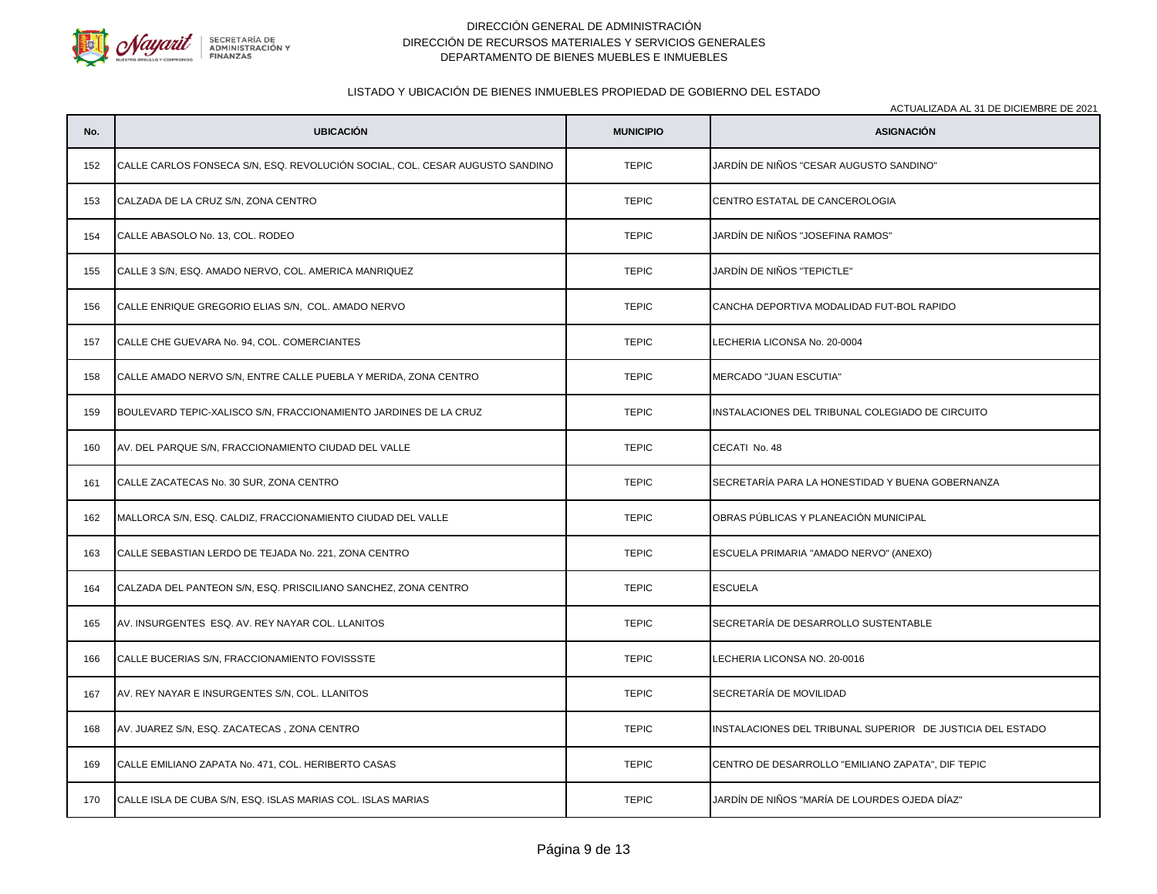

#### LISTADO Y UBICACIÓN DE BIENES INMUEBLES PROPIEDAD DE GOBIERNO DEL ESTADO

ACTUALIZADA AL 31 DE DICIEMBRE DE 2021

**No. UBICACIÓN MUNICIPIO ASIGNACIÓN** 152 CALLE CARLOS FONSECA S/N, ESQ. REVOLUCIÓN SOCIAL, COL. CESAR AUGUSTO SANDINO TEPIC JARDÍN DE NIÑOS "CESAR AUGUSTO SANDINO" 153 CALZADA DE LA CRUZ S/N, ZONA CENTRO CONTRO CONTRO TEPIC CENTRO ESTATAL DE CANCEROLOGIA 154 CALLE ABASOLO No. 13, COL. RODEO TEPIC JARDÍN DE NIÑOS "JOSEFINA RAMOS" 155 CALLE 3 S/N, ESQ. AMADO NERVO, COL. AMERICA MANRIQUEZ TEPIC JARDÍN DE NIÑOS "TEPICTLE" 156 CALLE ENRIQUE GREGORIO ELIAS S/N, COL. AMADO NERVO TERIC TEPIC CANCHA DEPORTIVA MODALIDAD FUT-BOL RAPIDO 157 CALLE CHE GUEVARA No. 94, COL. COMERCIANTES CHE CHE CHE CHE CHE TEPIC LECHERIA LICONSA No. 20-0004 158 CALLE AMADO NERVO S/N, ENTRE CALLE PUEBLA Y MERIDA, ZONA CENTRO TEPIC TEPIC MERCADO "JUAN ESCUTIA" 159 BOULEVARD TEPIC-XALISCO S/N, FRACCIONAMIENTO JARDINES DE LA CRUZ TEPIC TEPIC INSTALACIONES DEL TRIBUNAL COLEGIADO DE CIRCUITO 160 AV. DEL PARQUE S/N. FRACCIONAMIENTO CIUDAD DEL VALLE TERICHI CECATI NO. 48 161 CALLE ZACATECAS No. 30 SUR, ZONA CENTRO TERIC SECRETARÍA PARA LA HONESTIDAD Y BUENA GOBERNANZA 162 MALLORCA S/N, ESQ. CALDIZ, FRACCIONAMIENTO CIUDAD DEL VALLE TEPIC OBRAS PÚBLICAS Y PLANEACIÓN MUNICIPAL 163 CALLE SEBASTIAN LERDO DE TEJADA No. 221, ZONA CENTRO TEPIC ESCUELA PRIMARIA "AMADO NERVO" (ANEXO) 164 CALZADA DEL PANTEON S/N, ESQ. PRISCILIANO SANCHEZ, ZONA CENTRO **TELLO ESCUELA ESCUELA** 165 AV. INSURGENTES ESQ. AV. REY NAYAR COL. LLANITOS TEPIC SECRETARÍA DE DESARROLLO SUSTENTABLE 166 CALLE BUCERIAS S/N, FRACCIONAMIENTO FOVISSSTE TEPIC LECHERIA LICONSA NO. 20-0016 167 AV. REY NAYAR E INSURGENTES S/N, COL. LLANITOS TEPIC SECRETARÍA DE MOVILIDAD 168 AV. JUAREZ S/N, ESQ. ZACATECAS , ZONA CENTRO TEPIC INSTALACIONES DEL TRIBUNAL SUPERIOR DE JUSTICIA DEL ESTADO 169 CALLE EMILIANO ZAPATA No. 471, COL. HERIBERTO CASAS TERIC TEPIC CENTRO DE DESARROLLO "EMILIANO ZAPATA", DIF TEPIC 170 CALLE ISLA DE CUBA S/N, ESQ. ISLAS MARIAS COL. ISLAS MARIAS TEPIC TEPIC JARDÍN DE NIÑOS "MARÍA DE LOURDES OJEDA DÍAZ"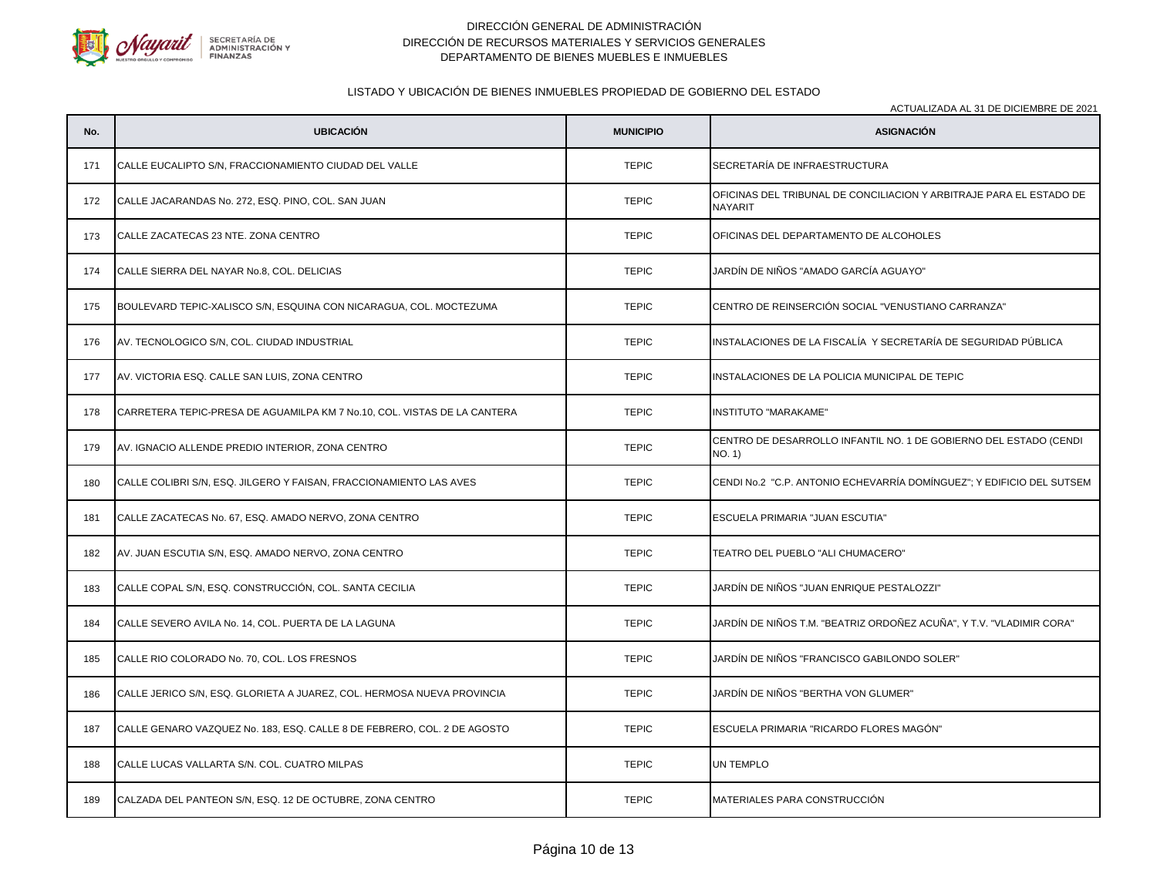

#### LISTADO Y UBICACIÓN DE BIENES INMUEBLES PROPIEDAD DE GOBIERNO DEL ESTADO

ACTUALIZADA AL 31 DE DICIEMBRE DE 2021

**No. UBICACIÓN MUNICIPIO ASIGNACIÓN** 171 CALLE EUCALIPTO S/N, FRACCIONAMIENTO CIUDAD DEL VALLE TERIC TEPIC SECRETARÍA DE INFRAESTRUCTURA 172 CALLE JACARANDAS No. 272, ESQ. PINO, COL. SAN JUAN TEPIC TEPIC TEPIC TERISTAN OFICINAS DEL TRIBUNAL DE CONCILIACION Y ARBITRAJE PARA EL ESTADO DE NAYARIT 173 CALLE ZACATECAS 23 NTE. ZONA CENTRO TEPIC OFICINAS DEL DEPARTAMENTO DE ALCOHOLES 174 CALLE SIERRA DEL NAYAR No.8, COL. DELICIAS TERICAL DEL TEPIC JARDÍN DE NIÑOS "AMADO GARCÍA AGUAYO" 175 BOULEVARD TEPIC-XALISCO S/N, ESQUINA CON NICARAGUA, COL. MOCTEZUMA TEPIC CENTRO DE REINSERCIÓN SOCIAL "VENUSTIANO CARRANZA" 176 AV. TECNOLOGICO S/N, COL. CIUDAD INDUSTRIAL TEPIC INSTALACIONES DE LA FISCALÍA Y SECRETARÍA DE SEGURIDAD PÚBLICA 177 AV. VICTORIA ESQ. CALLE SAN LUIS, ZONA CENTRO TEPIC INSTALACIONES DE LA POLICIA MUNICIPAL DE TEPIC 178 CARRETERA TEPIC-PRESA DE AGUAMILPA KM 7 No.10, COL. VISTAS DE LA CANTERA TEPIC TEPIC TEPIC INSTITUTO "MARAKAME" 179 AV. IGNACIO ALLENDE PREDIO INTERIOR, ZONA CENTRO CENTRO CENTRO CENTRO TEPIC CENTRO DE DESARROLLO INFANTIL NO. 1 DE GOBIERNO DEL ESTADO (CENDI NO. 1) 180 CALLE COLIBRI S/N, ESQ. JILGERO Y FAISAN, FRACCIONAMIENTO LAS AVES TEPIC CENDI No.2 "C.P. ANTONIO ECHEVARRÍA DOMÍNGUEZ"; Y EDIFICIO DEL SUTSEM 181 CALLE ZACATECAS No. 67, ESQ. AMADO NERVO, ZONA CENTRO TEPIC ESCUELA PRIMARIA "JUAN ESCUTIA" 182 AV. JUAN ESCUTIA S/N, ESQ. AMADO NERVO, ZONA CENTRO TEPIC TEATRO DEL PUEBLO "ALI CHUMACERO" 183 CALLE COPAL S/N, ESQ. CONSTRUCCIÓN, COL. SANTA CECILIA TERIC TEPIC JARDÍN DE NIÑOS "JUAN ENRIQUE PESTALOZZI" 184 CALLE SEVERO AVILA No. 14, COL. PUERTA DE LA LAGUNA TEPIC JARDÍN DE NIÑOS T.M. "BEATRIZ ORDOÑEZ ACUÑA", Y T.V. "VLADIMIR CORA" 185 CALLE RIO COLORADO No. 70, COL. LOS FRESNOS TEPIC JARDÍN DE NIÑOS "FRANCISCO GABILONDO SOLER" 186 CALLE JERICO S/N, ESQ. GLORIETA A JUAREZ, COL. HERMOSA NUEVA PROVINCIA TEPIC JARDÍN DE NIÑOS "BERTHA VON GLUMER" 187 CALLE GENARO VAZQUEZ No. 183, ESQ. CALLE 8 DE FEBRERO, COL. 2 DE AGOSTO TEPIC ESCUELA PRIMARIA "RICARDO FLORES MAGÓN" 188 CALLE LUCAS VALLARTA S/N. COL. CUATRO MILPAS TERIC TEPIC TEPIC UN TEMPLO 189 CALZADA DEL PANTEON S/N, ESQ. 12 DE OCTUBRE, ZONA CENTRO TERICOLLES PARA CONSTRUCCIÓN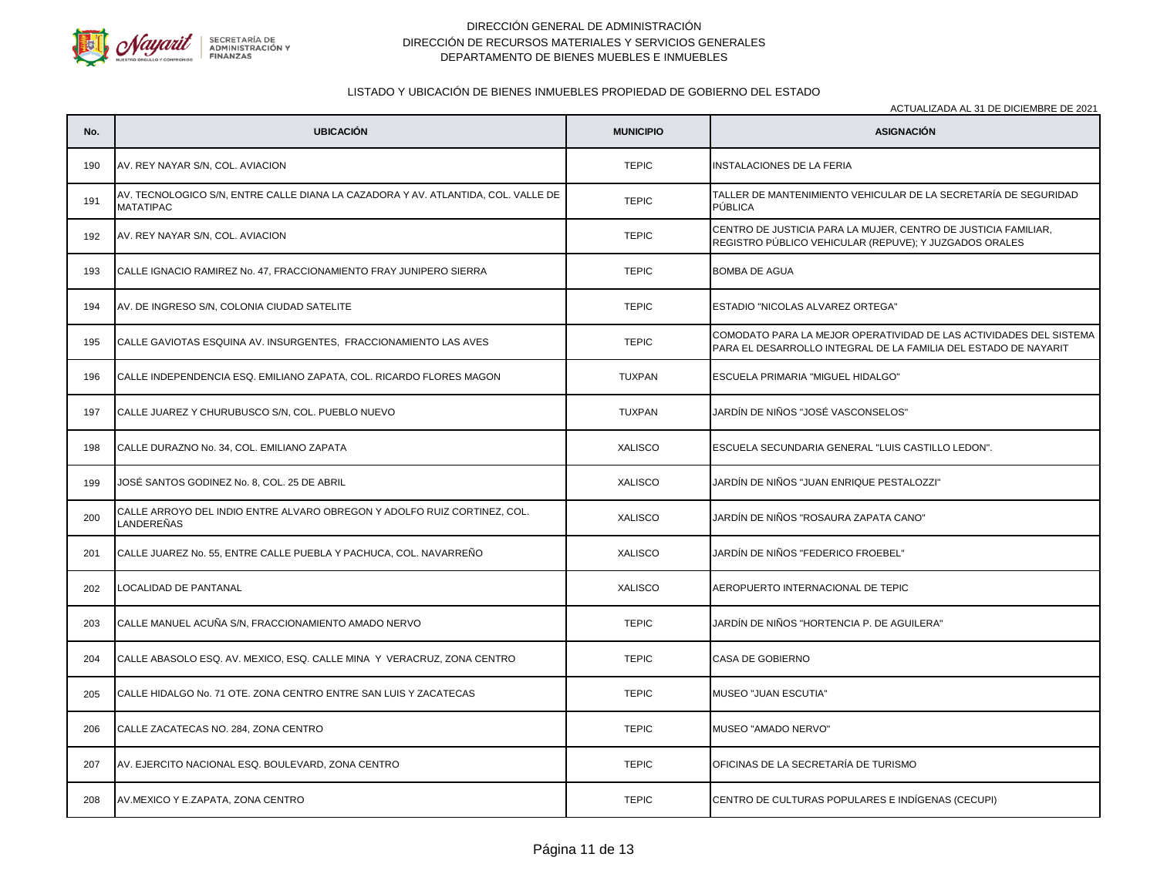

# LISTADO Y UBICACIÓN DE BIENES INMUEBLES PROPIEDAD DE GOBIERNO DEL ESTADO

| No. | <b>UBICACIÓN</b>                                                                                      | <b>MUNICIPIO</b> | <b>ASIGNACIÓN</b>                                                                                                                     |
|-----|-------------------------------------------------------------------------------------------------------|------------------|---------------------------------------------------------------------------------------------------------------------------------------|
| 190 | AV. REY NAYAR S/N, COL. AVIACION                                                                      | <b>TEPIC</b>     | <b>INSTALACIONES DE LA FERIA</b>                                                                                                      |
| 191 | AV. TECNOLOGICO S/N, ENTRE CALLE DIANA LA CAZADORA Y AV. ATLANTIDA, COL. VALLE DE<br><b>MATATIPAC</b> | <b>TEPIC</b>     | TALLER DE MANTENIMIENTO VEHICULAR DE LA SECRETARÍA DE SEGURIDAD<br>PÚBLICA                                                            |
| 192 | AV. REY NAYAR S/N, COL. AVIACION                                                                      | <b>TEPIC</b>     | CENTRO DE JUSTICIA PARA LA MUJER, CENTRO DE JUSTICIA FAMILIAR,<br>REGISTRO PÚBLICO VEHICULAR (REPUVE); Y JUZGADOS ORALES              |
| 193 | CALLE IGNACIO RAMIREZ No. 47, FRACCIONAMIENTO FRAY JUNIPERO SIERRA                                    | <b>TEPIC</b>     | <b>BOMBA DE AGUA</b>                                                                                                                  |
| 194 | AV. DE INGRESO S/N, COLONIA CIUDAD SATELITE                                                           | <b>TEPIC</b>     | ESTADIO "NICOLAS ALVAREZ ORTEGA"                                                                                                      |
| 195 | CALLE GAVIOTAS ESQUINA AV. INSURGENTES, FRACCIONAMIENTO LAS AVES                                      | <b>TEPIC</b>     | COMODATO PARA LA MEJOR OPERATIVIDAD DE LAS ACTIVIDADES DEL SISTEMA<br>PARA EL DESARROLLO INTEGRAL DE LA FAMILIA DEL ESTADO DE NAYARIT |
| 196 | CALLE INDEPENDENCIA ESQ. EMILIANO ZAPATA, COL. RICARDO FLORES MAGON                                   | <b>TUXPAN</b>    | ESCUELA PRIMARIA "MIGUEL HIDALGO"                                                                                                     |
| 197 | CALLE JUAREZ Y CHURUBUSCO S/N, COL. PUEBLO NUEVO                                                      | <b>TUXPAN</b>    | JARDÍN DE NIÑOS "JOSÉ VASCONSELOS"                                                                                                    |
| 198 | CALLE DURAZNO No. 34, COL. EMILIANO ZAPATA                                                            | <b>XALISCO</b>   | ESCUELA SECUNDARIA GENERAL "LUIS CASTILLO LEDON".                                                                                     |
| 199 | JOSÉ SANTOS GODINEZ No. 8, COL. 25 DE ABRIL                                                           | <b>XALISCO</b>   | JARDÍN DE NIÑOS "JUAN ENRIQUE PESTALOZZI"                                                                                             |
| 200 | CALLE ARROYO DEL INDIO ENTRE ALVARO OBREGON Y ADOLFO RUIZ CORTINEZ, COL.<br><b>LANDEREÑAS</b>         | <b>XALISCO</b>   | JARDÍN DE NIÑOS "ROSAURA ZAPATA CANO"                                                                                                 |
| 201 | CALLE JUAREZ No. 55, ENTRE CALLE PUEBLA Y PACHUCA, COL. NAVARREÑO                                     | <b>XALISCO</b>   | JARDÍN DE NIÑOS "FEDERICO FROEBEL"                                                                                                    |
| 202 | <b>LOCALIDAD DE PANTANAL</b>                                                                          | <b>XALISCO</b>   | AEROPUERTO INTERNACIONAL DE TEPIC                                                                                                     |
| 203 | CALLE MANUEL ACUÑA S/N, FRACCIONAMIENTO AMADO NERVO                                                   | <b>TEPIC</b>     | JARDÍN DE NIÑOS "HORTENCIA P. DE AGUILERA"                                                                                            |
| 204 | CALLE ABASOLO ESQ. AV. MEXICO, ESQ. CALLE MINA Y VERACRUZ, ZONA CENTRO                                | <b>TEPIC</b>     | CASA DE GOBIERNO                                                                                                                      |
| 205 | CALLE HIDALGO No. 71 OTE. ZONA CENTRO ENTRE SAN LUIS Y ZACATECAS                                      | <b>TEPIC</b>     | <b>MUSEO "JUAN ESCUTIA"</b>                                                                                                           |
| 206 | CALLE ZACATECAS NO. 284, ZONA CENTRO                                                                  | <b>TEPIC</b>     | MUSEO "AMADO NERVO"                                                                                                                   |
| 207 | AV. EJERCITO NACIONAL ESQ. BOULEVARD, ZONA CENTRO                                                     | <b>TEPIC</b>     | OFICINAS DE LA SECRETARÍA DE TURISMO                                                                                                  |
| 208 | AV.MEXICO Y E.ZAPATA, ZONA CENTRO                                                                     | <b>TEPIC</b>     | CENTRO DE CULTURAS POPULARES E INDÍGENAS (CECUPI)                                                                                     |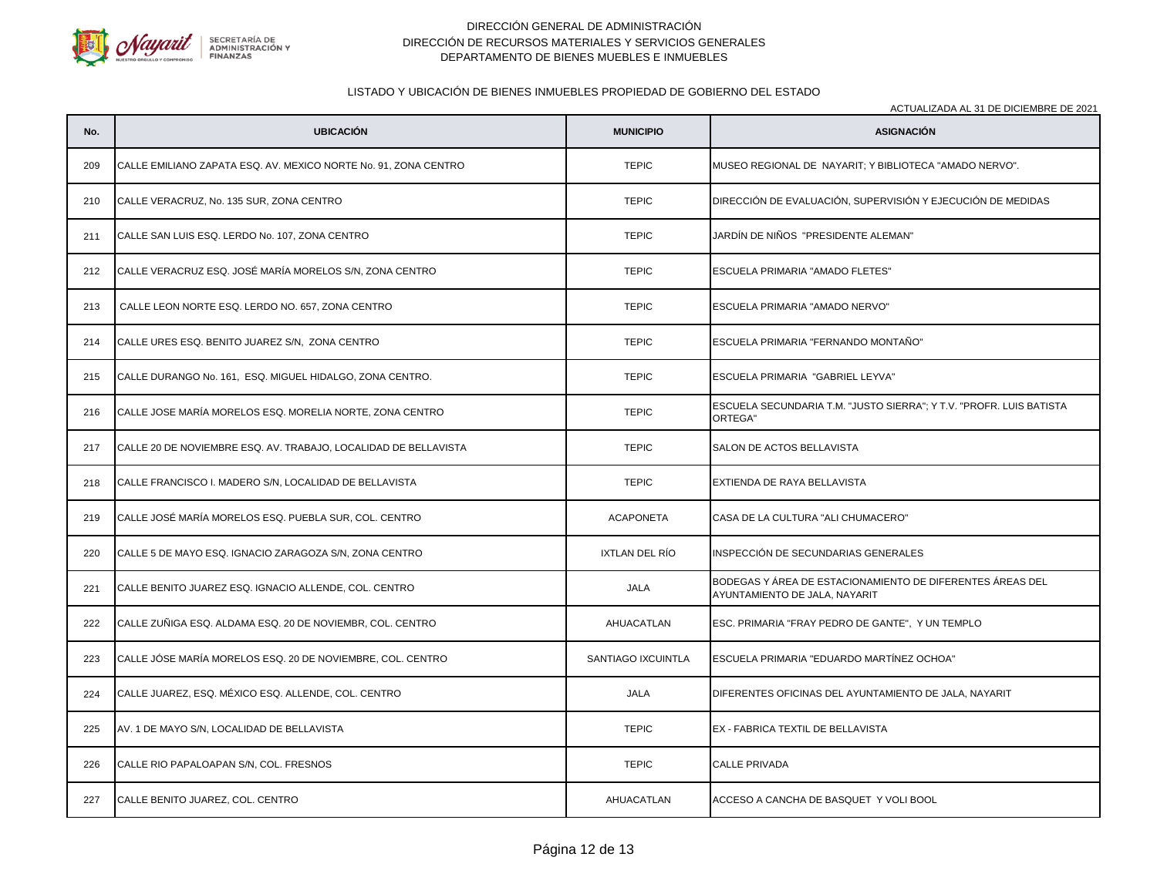

# LISTADO Y UBICACIÓN DE BIENES INMUEBLES PROPIEDAD DE GOBIERNO DEL ESTADO

|     | ACTUALIZADA AL 31 DE DICIEMBRE DE 2021                          |                    |                                                                                            |
|-----|-----------------------------------------------------------------|--------------------|--------------------------------------------------------------------------------------------|
| No. | <b>UBICACIÓN</b>                                                | <b>MUNICIPIO</b>   | <b>ASIGNACIÓN</b>                                                                          |
| 209 | CALLE EMILIANO ZAPATA ESQ. AV. MEXICO NORTE No. 91, ZONA CENTRO | <b>TEPIC</b>       | MUSEO REGIONAL DE NAYARIT; Y BIBLIOTECA "AMADO NERVO".                                     |
| 210 | CALLE VERACRUZ, No. 135 SUR, ZONA CENTRO                        | <b>TEPIC</b>       | DIRECCIÓN DE EVALUACIÓN, SUPERVISIÓN Y EJECUCIÓN DE MEDIDAS                                |
| 211 | CALLE SAN LUIS ESQ. LERDO No. 107, ZONA CENTRO                  | <b>TEPIC</b>       | JARDÍN DE NIÑOS "PRESIDENTE ALEMAN"                                                        |
| 212 | CALLE VERACRUZ ESQ. JOSÉ MARÍA MORELOS S/N, ZONA CENTRO         | <b>TEPIC</b>       | ESCUELA PRIMARIA "AMADO FLETES"                                                            |
| 213 | CALLE LEON NORTE ESQ. LERDO NO. 657, ZONA CENTRO                | <b>TEPIC</b>       | ESCUELA PRIMARIA "AMADO NERVO"                                                             |
| 214 | CALLE URES ESQ. BENITO JUAREZ S/N, ZONA CENTRO                  | <b>TEPIC</b>       | ESCUELA PRIMARIA "FERNANDO MONTAÑO"                                                        |
| 215 | CALLE DURANGO No. 161, ESQ. MIGUEL HIDALGO, ZONA CENTRO.        | <b>TEPIC</b>       | ESCUELA PRIMARIA "GABRIEL LEYVA"                                                           |
| 216 | CALLE JOSE MARÍA MORELOS ESQ. MORELIA NORTE, ZONA CENTRO        | <b>TEPIC</b>       | ESCUELA SECUNDARIA T.M. "JUSTO SIERRA"; Y T.V. "PROFR. LUIS BATISTA<br>ORTEGA"             |
| 217 | CALLE 20 DE NOVIEMBRE ESQ. AV. TRABAJO, LOCALIDAD DE BELLAVISTA | <b>TEPIC</b>       | SALON DE ACTOS BELLAVISTA                                                                  |
| 218 | CALLE FRANCISCO I. MADERO S/N, LOCALIDAD DE BELLAVISTA          | <b>TEPIC</b>       | EXTIENDA DE RAYA BELLAVISTA                                                                |
| 219 | CALLE JOSÉ MARÍA MORELOS ESQ. PUEBLA SUR, COL. CENTRO           | <b>ACAPONETA</b>   | CASA DE LA CULTURA "ALI CHUMACERO"                                                         |
| 220 | CALLE 5 DE MAYO ESQ. IGNACIO ZARAGOZA S/N, ZONA CENTRO          | IXTLAN DEL RÍO     | INSPECCIÓN DE SECUNDARIAS GENERALES                                                        |
| 221 | CALLE BENITO JUAREZ ESQ. IGNACIO ALLENDE, COL. CENTRO           | JALA               | BODEGAS Y ÁREA DE ESTACIONAMIENTO DE DIFERENTES ÁREAS DEL<br>AYUNTAMIENTO DE JALA, NAYARIT |
| 222 | CALLE ZUÑIGA ESQ. ALDAMA ESQ. 20 DE NOVIEMBR, COL. CENTRO       | AHUACATLAN         | ESC. PRIMARIA "FRAY PEDRO DE GANTE", Y UN TEMPLO                                           |
| 223 | CALLE JÓSE MARÍA MORELOS ESQ. 20 DE NOVIEMBRE, COL. CENTRO      | SANTIAGO IXCUINTLA | ESCUELA PRIMARIA "EDUARDO MARTÍNEZ OCHOA"                                                  |
| 224 | CALLE JUAREZ, ESQ. MÉXICO ESQ. ALLENDE, COL. CENTRO             | JALA               | DIFERENTES OFICINAS DEL AYUNTAMIENTO DE JALA, NAYARIT                                      |
| 225 | AV. 1 DE MAYO S/N, LOCALIDAD DE BELLAVISTA                      | <b>TEPIC</b>       | EX - FABRICA TEXTIL DE BELLAVISTA                                                          |
| 226 | CALLE RIO PAPALOAPAN S/N, COL. FRESNOS                          | <b>TEPIC</b>       | <b>CALLE PRIVADA</b>                                                                       |
| 227 | CALLE BENITO JUAREZ, COL. CENTRO                                | AHUACATLAN         | ACCESO A CANCHA DE BASQUET Y VOLI BOOL                                                     |